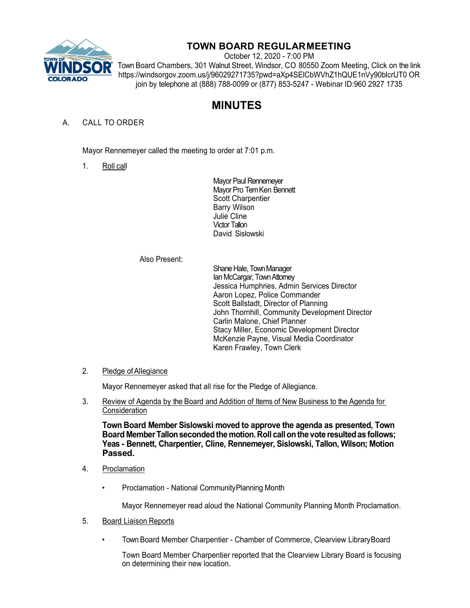

# **TOWN BOARD REGULARMEETING**

October 12, 2020 - 7:00 PM Town Board Chambers, 301 Walnut Street, Windsor, CO 80550 Zoom Meeting, Click on the link https://windsorgov.zoom.us/j/96029271735?pwd=aXp4SElCbWVhZ1hQUE1nVy90blcrUT0 OR join by telephone at (888) 788-0099 or (877) 853-5247 - Webinar ID:960 2927 1735

# **MINUTES**

## A. CALL TO ORDER

Mayor Rennemeyer called the meeting to order at 7:01 p.m.

1. Roll call

Mayor Paul Rennemeyer Mayor Pro Tem Ken Bennett Scott Charpentier Barry Wilson Julie Cline Victor Tallon David Sislowski

#### Also Present:

Shane Hale, Town Manager Ian McCargar, Town Attorney Jessica Humphries, Admin Services Director Aaron Lopez, Police Commander Scott Ballstadt, Director of Planning John Thornhill, Community Development Director Carlin Malone, Chief Planner Stacy Miller, Economic Development Director McKenzie Payne, Visual Media Coordinator Karen Frawley, Town Clerk

### 2. Pledge of Allegiance

Mayor Rennemeyer asked that all rise for the Pledge of Allegiance.

3. Review of Agenda by the Board and Addition of Items of New Business to the Agenda for **Consideration** 

**Town Board Member Sislowski moved to approve the agenda as presented, Town Board MemberTallonsecondedthe motion.Roll callonthe vote resultedas follows; Yeas - Bennett, Charpentier, Cline, Rennemeyer, Sislowski, Tallon, Wilson; Motion Passed.**

- 4. Proclamation
	- Proclamation National CommunityPlanning Month

Mayor Rennemeyer read aloud the National Community Planning Month Proclamation.

- 5. Board Liaison Reports
	- Town Board Member Charpentier Chamber of Commerce, Clearview LibraryBoard

Town Board Member Charpentier reported that the Clearview Library Board is focusing on determining their new location.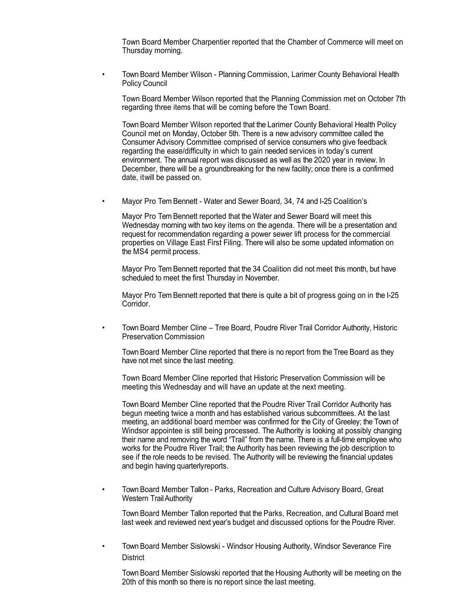Town Board Member Charpentier reported that the Chamber of Commerce will meet on Thursday morning.

• Town Board Member Wilson - Planning Commission, Larimer County Behavioral Health Policy Council

Town Board Member Wilson reported that the Planning Commission met on October 7th regarding three items that will be coming before the Town Board.

Town Board Member Wilson reported that the Larimer County Behavioral Health Policy Council met on Monday, October 5th. There is a new advisory committee called the Consumer Advisory Committee comprised of service consumers who give feedback regarding the ease/difficulty in which to gain needed services in today's current environment. The annual report was discussed as well as the 2020 year in review. In December, there will be a groundbreaking for the new facility; once there is a confirmed date, itwill be passed on.

• Mayor Pro Tem Bennett - Water and Sewer Board, 34, 74 and I-25 Coalition's

Mayor Pro Tem Bennett reported that the Water and Sewer Board will meet this Wednesday morning with two key items on the agenda. There will be a presentation and request for recommendation regarding a power sewer lift process for the commercial properties on Village East First Filing. There will also be some updated information on the MS4 permit process.

Mayor Pro Tem Bennett reported that the 34 Coalition did not meet this month, but have scheduled to meet the first Thursday in November.

Mayor Pro Tem Bennett reported that there is quite a bit of progress going on in the I-25 Corridor.

• Town Board Member Cline – Tree Board, Poudre River Trail Corridor Authority, Historic Preservation Commission

Town Board Member Cline reported that there is no report from the Tree Board as they have not met since the last meeting.

Town Board Member Cline reported that Historic Preservation Commission will be meeting this Wednesday and will have an update at the next meeting.

Town Board Member Cline reported that the Poudre River Trail Corridor Authority has begun meeting twice a month and has established various subcommittees. At the last meeting, an additional board member was confirmed for the City of Greeley; the Town of Windsor appointee is still being processed. The Authority is looking at possibly changing their name and removing the word "Trail" from the name. There is a full-time employee who works for the Poudre River Trail; the Authority has been reviewing the job description to see if the role needs to be revised. The Authority will be reviewing the financial updates and begin having quarterlyreports.

• Town Board Member Tallon - Parks, Recreation and Culture Advisory Board, Great Western TrailAuthority

Town Board Member Tallon reported that the Parks, Recreation, and Cultural Board met last week and reviewed next year's budget and discussed options for the Poudre River.

• Town Board Member Sislowski - Windsor Housing Authority, Windsor Severance Fire **District** 

Town Board Member Sislowski reported that the Housing Authority will be meeting on the 20th of this month so there is no report since the last meeting.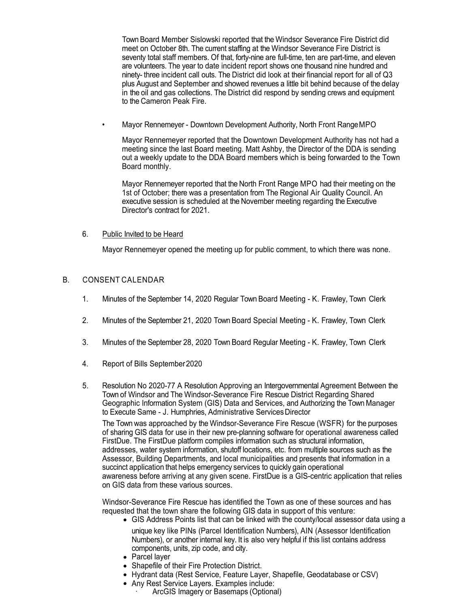Town Board Member Sislowski reported that the Windsor Severance Fire District did meet on October 8th. The current staffing at the Windsor Severance Fire District is seventy total staff members. Of that, forty-nine are full-time, ten are part-time, and eleven are volunteers. The year to date incident report shows one thousand nine hundred and ninety- three incident call outs. The District did look at their financial report for all of Q3 plus August and September and showed revenues a little bit behind because of the delay in the oil and gas collections. The District did respond by sending crews and equipment to the Cameron Peak Fire.

• Mayor Rennemeyer - Downtown Development Authority, North Front RangeMPO

Mayor Rennemeyer reported that the Downtown Development Authority has not had a meeting since the last Board meeting. Matt Ashby, the Director of the DDA is sending out a weekly update to the DDA Board members which is being forwarded to the Town Board monthly.

Mayor Rennemeyer reported that the North Front Range MPO had their meeting on the 1st of October; there was a presentation from The Regional Air Quality Council. An executive session is scheduled at the November meeting regarding the Executive Director's contract for 2021.

#### 6. Public Invited to be Heard

Mayor Rennemeyer opened the meeting up for public comment, to which there was none.

#### B. CONSENT CALENDAR

- 1. Minutes of the September 14, 2020 Regular Town Board Meeting K. Frawley, Town Clerk
- 2. Minutes of the September 21, 2020 Town Board Special Meeting K. Frawley, Town Clerk
- 3. Minutes of the September 28, 2020 Town Board Regular Meeting K. Frawley, Town Clerk
- 4. Report of Bills September2020
- 5. Resolution No 2020-77 A Resolution Approving an Intergovernmental Agreement Between the Town of Windsor and The Windsor-Severance Fire Rescue District Regarding Shared Geographic Information System (GIS) Data and Services, and Authorizing the Town Manager to Execute Same - J. Humphries, Administrative Services Director

The Town was approached by the Windsor-Severance Fire Rescue (WSFR) for the purposes of sharing GIS data for use in their new pre-planning software for operational awareness called FirstDue. The FirstDue platform compiles information such as structural information, addresses, water system information, shutoff locations, etc. from multiple sources such as the Assessor, Building Departments, and local municipalities and presents that information in a succinct application that helps emergency services to quickly gain operational awareness before arriving at any given scene. FirstDue is a GIS-centric application that relies on GIS data from these various sources.

Windsor-Severance Fire Rescue has identified the Town as one of these sources and has requested that the town share the following GIS data in support of this venture:

- GIS Address Points list that can be linked with the county/local assessor data using a unique key like PINs (Parcel Identification Numbers), AIN (Assessor Identification Numbers), or another internal key. It is also very helpful if this list contains address components, units, zip code, and city.
- Parcel layer
- Shapefile of their Fire Protection District.
- Hydrant data (Rest Service, Feature Layer, Shapefile, Geodatabase or CSV)
- Any Rest Service Layers. Examples include:
	- · ArcGIS Imagery or Basemaps (Optional)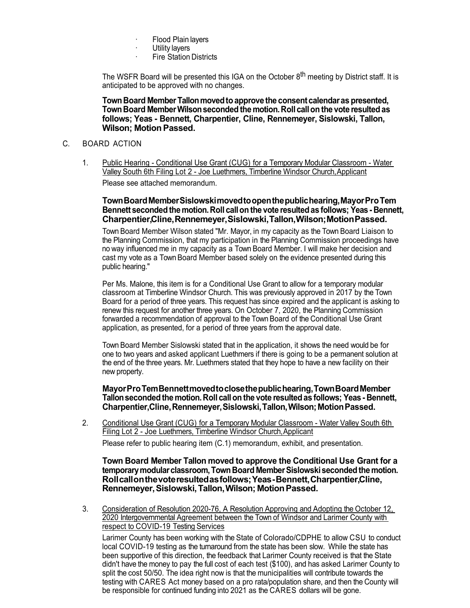- Flood Plain layers
- · Utility layers<br>· Fire Station
- **Fire Station Districts**

The WSFR Board will be presented this IGA on the October 8<sup>th</sup> meeting by District staff. It is anticipated to be approved with no changes.

**TownBoard MemberTallonmovedtoapprove the consent calendaras presented, TownBoard MemberWilsonsecondedthe motion.Roll callon the vote resultedas follows; Yeas - Bennett, Charpentier, Cline, Rennemeyer, Sislowski, Tallon, Wilson; MotionPassed.**

#### C. BOARD ACTION

1. Public Hearing - Conditional Use Grant (CUG) for a Temporary Modular Classroom - Water Valley South 6th Filing Lot 2 - Joe Luethmers, Timberline Windsor Church,Applicant Please see attached memorandum.

#### **TownBoardMemberSislowskimovedtoopenthepublichearing,MayorProTem Bennett secondedthemotion.Roll callon the vote resultedas follows; Yeas- Bennett, Charpentier,Cline,Rennemeyer,Sislowski,Tallon,Wilson;MotionPassed.**

Town Board Member Wilson stated "Mr. Mayor, in my capacity as the Town Board Liaison to the Planning Commission, that my participation in the Planning Commission proceedings have no way influenced me in my capacity as a Town Board Member. I will make her decision and cast my vote as a Town Board Member based solely on the evidence presented during this public hearing."

Per Ms. Malone, this item is for a Conditional Use Grant to allow for a temporary modular classroom at Timberline Windsor Church. This was previously approved in 2017 by the Town Board for a period of three years. This request has since expired and the applicant is asking to renew this request for another three years. On October 7, 2020, the Planning Commission forwarded a recommendation of approval to the Town Board of the Conditional Use Grant application, as presented, for a period of three years from the approval date.

Town Board Member Sislowski stated that in the application, it shows the need would be for one to two years and asked applicant Luethmers if there is going to be a permanent solution at the end of the three years. Mr. Luethmers stated that they hope to have a new facility on their new property.

**MayorProTemBennettmovedtoclosethepublichearing,TownBoardMember Tallonsecondedthe motion.Roll callon the vote resultedas follows; Yeas- Bennett, Charpentier,Cline,Rennemeyer,Sislowski,Tallon,Wilson;MotionPassed.**

2. Conditional Use Grant (CUG) for a Temporary Modular Classroom - Water Valley South 6th Filing Lot 2 - Joe Luethmers, Timberline Windsor Church,Applicant Please refer to public hearing item (C.1) memorandum, exhibit, and presentation.

**Town Board Member Tallon moved to approve the Conditional Use Grant for a temporarymodularclassroom,TownBoard MemberSislowskisecondedthemotion. Rollcallonthevoteresultedasfollows;Yeas-Bennett,Charpentier,Cline, Rennemeyer,Sislowski,Tallon,Wilson; MotionPassed.**

3. Consideration of Resolution 2020-76, A Resolution Approving and Adopting the October 12, 2020 Intergovernmental Agreement between the Town of Windsor and Larimer County with respect to COVID-19 Testing Services

Larimer County has been working with the State of Colorado/CDPHE to allow CSU to conduct local COVID-19 testing as the turnaround from the state has been slow. While the state has been supportive of this direction, the feedback that Larimer County received is that the State didn't have the money to pay the full cost of each test (\$100), and has asked Larimer County to split the cost 50/50. The idea right now is that the municipalities will contribute towards the testing with CARES Act money based on a pro rata/population share, and then the County will be responsible for continued funding into 2021 as the CARES dollars will be gone.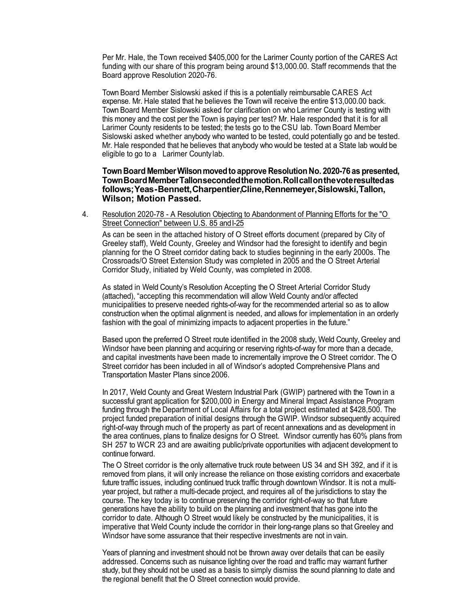Per Mr. Hale, the Town received \$405,000 for the Larimer County portion of the CARES Act funding with our share of this program being around \$13,000.00. Staff recommends that the Board approve Resolution 2020-76.

Town Board Member Sislowski asked if this is a potentially reimbursable CARES Act expense. Mr. Hale stated that he believes the Town will receive the entire \$13,000.00 back. Town Board Member Sislowski asked for clarification on who Larimer County is testing with this money and the cost per the Town is paying per test? Mr. Hale responded that it is for all Larimer County residents to be tested; the tests go to the CSU lab. Town Board Member Sislowski asked whether anybody who wanted to be tested, could potentially go and be tested. Mr. Hale responded that he believes that anybody who would be tested at a State lab would be eligible to go to a Larimer County lab.

#### **TownBoard MemberWilsonmovedtoapprove Resolution No. 2020-76as presented, TownBoardMemberTallonsecondedthemotion.Rollcallonthevoteresultedas follows;Yeas-Bennett,Charpentier,Cline,Rennemeyer,Sislowski,Tallon, Wilson; Motion Passed.**

4. Resolution 2020-78 - A Resolution Objecting to Abandonment of Planning Efforts for the "O Street Connection" between U.S. 85 and I-25

As can be seen in the attached history of O Street efforts document (prepared by City of Greeley staff), Weld County, Greeley and Windsor had the foresight to identify and begin planning for the O Street corridor dating back to studies beginning in the early 2000s. The Crossroads/O Street Extension Study was completed in 2005 and the O Street Arterial Corridor Study, initiated by Weld County, was completed in 2008.

As stated in Weld County's Resolution Accepting the O Street Arterial Corridor Study (attached), "accepting this recommendation will allow Weld County and/or affected municipalities to preserve needed rights-of-way for the recommended arterial so as to allow construction when the optimal alignment is needed, and allows for implementation in an orderly fashion with the goal of minimizing impacts to adjacent properties in the future."

Based upon the preferred O Street route identified in the 2008 study, Weld County, Greeley and Windsor have been planning and acquiring or reserving rights-of-way for more than a decade, and capital investments have been made to incrementally improve the O Street corridor. The O Street corridor has been included in all of Windsor's adopted Comprehensive Plans and Transportation Master Plans since 2006.

In 2017, Weld County and Great Western Industrial Park (GWIP) partnered with the Town in a successful grant application for \$200,000 in Energy and Mineral Impact Assistance Program funding through the Department of Local Affairs for a total project estimated at \$428,500. The project funded preparation of initial designs through the GWIP. Windsor subsequently acquired right-of-way through much of the property as part of recent annexations and as development in the area continues, plans to finalize designs for O Street. Windsor currently has 60% plans from SH 257 to WCR 23 and are awaiting public/private opportunities with adjacent development to continue forward.

The O Street corridor is the only alternative truck route between US 34 and SH 392, and if it is removed from plans, it will only increase the reliance on those existing corridors and exacerbate future traffic issues, including continued truck traffic through downtown Windsor. It is not a multiyear project, but rather a multi-decade project, and requires all of the jurisdictions to stay the course. The key today is to continue preserving the corridor right-of-way so that future generations have the ability to build on the planning and investment that has gone into the corridor to date. Although O Street would likely be constructed by the municipalities, it is imperative that Weld County include the corridor in their long-range plans so that Greeley and Windsor have some assurance that their respective investments are not in vain.

Years of planning and investment should not be thrown away over details that can be easily addressed. Concerns such as nuisance lighting over the road and traffic may warrant further study, but they should not be used as a basis to simply dismiss the sound planning to date and the regional benefit that the O Street connection would provide.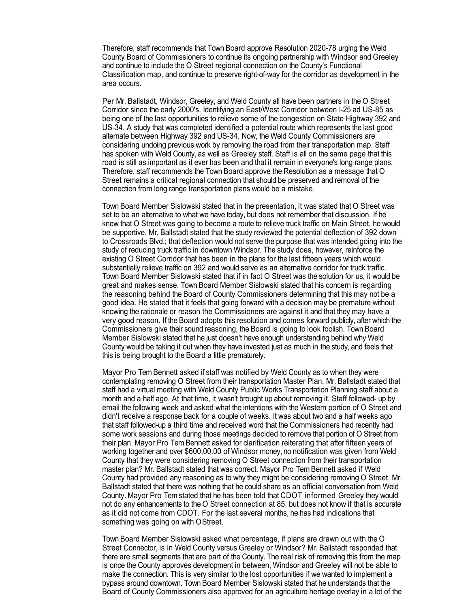Therefore, staff recommends that Town Board approve Resolution 2020-78 urging the Weld County Board of Commissioners to continue its ongoing partnership with Windsor and Greeley and continue to include the O Street regional connection on the County's Functional Classification map, and continue to preserve right-of-way for the corridor as development in the area occurs.

Per Mr. Ballstadt, Windsor, Greeley, and Weld County all have been partners in the O Street Corridor since the early 2000's. Identifying an East/West Corridor between I-25 ad US-85 as being one of the last opportunities to relieve some of the congestion on State Highway 392 and US-34. A study that was completed identified a potential route which represents the last good alternate between Highway 392 and US-34. Now, the Weld County Commissioners are considering undoing previous work by removing the road from their transportation map. Staff has spoken with Weld County, as well as Greeley staff. Staff is all on the same page that this road is still as important as it ever has been and that it remain in everyone's long range plans. Therefore, staff recommends the Town Board approve the Resolution as a message that O Street remains a critical regional connection that should be preserved and removal of the connection from long range transportation plans would be a mistake.

Town Board Member Sislowski stated that in the presentation, it was stated that O Street was set to be an alternative to what we have today, but does not remember that discussion. If he knew that O Street was going to become a route to relieve truck traffic on Main Street, he would be supportive. Mr. Ballstadt stated that the study reviewed the potential deflection of 392 down to Crossroads Blvd.; that deflection would not serve the purpose that was intended going into the study of reducing truck traffic in downtown Windsor. The study does, however, reinforce the existing O Street Corridor that has been in the plans for the last fifteen years which would substantially relieve traffic on 392 and would serve as an alternative corridor for truck traffic. Town Board Member Sislowski stated that if in fact O Street was the solution for us, it would be great and makes sense. Town Board Member Sislowski stated that his concern is regarding the reasoning behind the Board of County Commissioners determining that this may not be a good idea. He stated that it feels that going forward with a decision may be premature without knowing the rationale or reason the Commissioners are against it and that they may have a very good reason. If the Board adopts this resolution and comes forward publicly, after which the Commissioners give their sound reasoning, the Board is going to look foolish. Town Board Member Sislowski stated that he just doesn't have enough understanding behind why Weld County would be taking it out when they have invested just as much in the study, and feels that this is being brought to the Board a little prematurely.

Mayor Pro Tem Bennett asked if staff was notified by Weld County as to when they were contemplating removing O Street from their transportation Master Plan. Mr. Ballstadt stated that staff had a virtual meeting with Weld County Public Works Transportation Planning staff about a month and a half ago. At that time, it wasn't brought up about removing it. Staff followed- up by email the following week and asked what the intentions with the Western portion of O Street and didn't receive a response back for a couple of weeks. It was about two and a half weeks ago that staff followed-up a third time and received word that the Commissioners had recently had some work sessions and during those meetings decided to remove that portion of O Street from their plan. Mayor Pro Tem Bennett asked for clarification reiterating that after fifteen years of working together and over \$600,00.00 of Windsor money, no notification was given from Weld County that they were considering removing O Street connection from their transportation master plan? Mr. Ballstadt stated that was correct. Mayor Pro Tem Bennett asked if Weld County had provided any reasoning as to why they might be considering removing O Street. Mr. Ballstadt stated that there was nothing that he could share as an official conversation from Weld County. Mayor Pro Tem stated that he has been told that CDOT informed Greeley they would not do any enhancements to the O Street connection at 85, but does not know if that is accurate as it did not come from CDOT. For the last several months, he has had indications that something was going on with OStreet.

Town Board Member Sislowski asked what percentage, if plans are drawn out with the O Street Connector, is in Weld County versus Greeley or Windsor? Mr. Ballstadt responded that there are small segments that are part of the County. The real risk of removing this from the map is once the County approves development in between, Windsor and Greeley will not be able to make the connection. This is very similar to the lost opportunities if we wanted to implement a bypass around downtown. Town Board Member Sislowski stated that he understands that the Board of County Commissioners also approved for an agriculture heritage overlay in a lot of the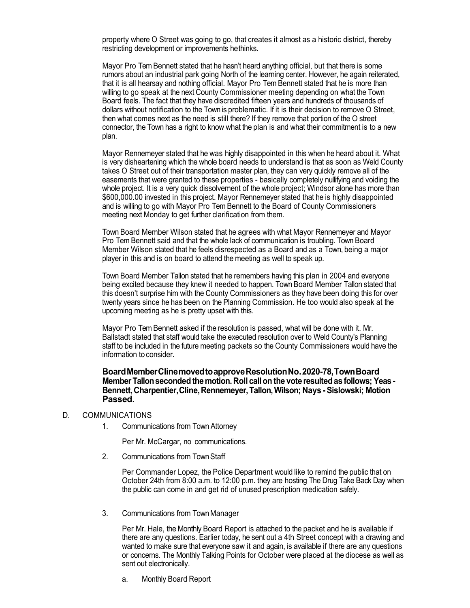property where O Street was going to go, that creates it almost as a historic district, thereby restricting development or improvements hethinks.

Mayor Pro Tem Bennett stated that he hasn't heard anything official, but that there is some rumors about an industrial park going North of the learning center. However, he again reiterated, that it is all hearsay and nothing official. Mayor Pro Tem Bennett stated that he is more than willing to go speak at the next County Commissioner meeting depending on what the Town Board feels. The fact that they have discredited fifteen years and hundreds of thousands of dollars without notification to the Town is problematic. If it is their decision to remove O Street, then what comes next as the need is still there? If they remove that portion of the O street connector, the Town has a right to know what the plan is and what their commitment is to a new plan.

Mayor Rennemeyer stated that he was highly disappointed in this when he heard about it. What is very disheartening which the whole board needs to understand is that as soon as Weld County takes O Street out of their transportation master plan, they can very quickly remove all of the easements that were granted to these properties - basically completely nullifying and voiding the whole project. It is a very quick dissolvement of the whole project; Windsor alone has more than \$600,000.00 invested in this project. Mayor Rennemeyer stated that he is highly disappointed and is willing to go with Mayor Pro Tem Bennett to the Board of County Commissioners meeting next Monday to get further clarification from them.

Town Board Member Wilson stated that he agrees with what Mayor Rennemeyer and Mayor Pro Tem Bennett said and that the whole lack of communication is troubling. Town Board Member Wilson stated that he feels disrespected as a Board and as a Town, being a major player in this and is on board to attend the meeting as well to speak up.

Town Board Member Tallon stated that he remembers having this plan in 2004 and everyone being excited because they knew it needed to happen. Town Board Member Tallon stated that this doesn't surprise him with the County Commissioners as they have been doing this for over twenty years since he has been on the Planning Commission. He too would also speak at the upcoming meeting as he is pretty upset with this.

Mayor Pro Tem Bennett asked if the resolution is passed, what will be done with it. Mr. Ballstadt stated that staff would take the executed resolution over to Weld County's Planning staff to be included in the future meeting packets so the County Commissioners would have the information to consider.

**BoardMemberClinemovedtoapproveResolutionNo.2020-78,TownBoard MemberTallonsecondedthemotion. Roll callon the vote resultedas follows; Yeas-Bennett,Charpentier,Cline,Rennemeyer,Tallon,Wilson; Nays - Sislowski; Motion Passed.**

#### D. COMMUNICATIONS

1. Communications from Town Attorney

Per Mr. McCargar, no communications.

2. Communications from TownStaff

Per Commander Lopez, the Police Department would like to remind the public that on October 24th from 8:00 a.m. to 12:00 p.m. they are hosting The Drug Take Back Day when the public can come in and get rid of unused prescription medication safely.

3. Communications from TownManager

Per Mr. Hale, the Monthly Board Report is attached to the packet and he is available if there are any questions. Earlier today, he sent out a 4th Street concept with a drawing and wanted to make sure that everyone saw it and again, is available if there are any questions or concerns. The Monthly Talking Points for October were placed at the diocese as well as sent out electronically.

a. Monthly Board Report